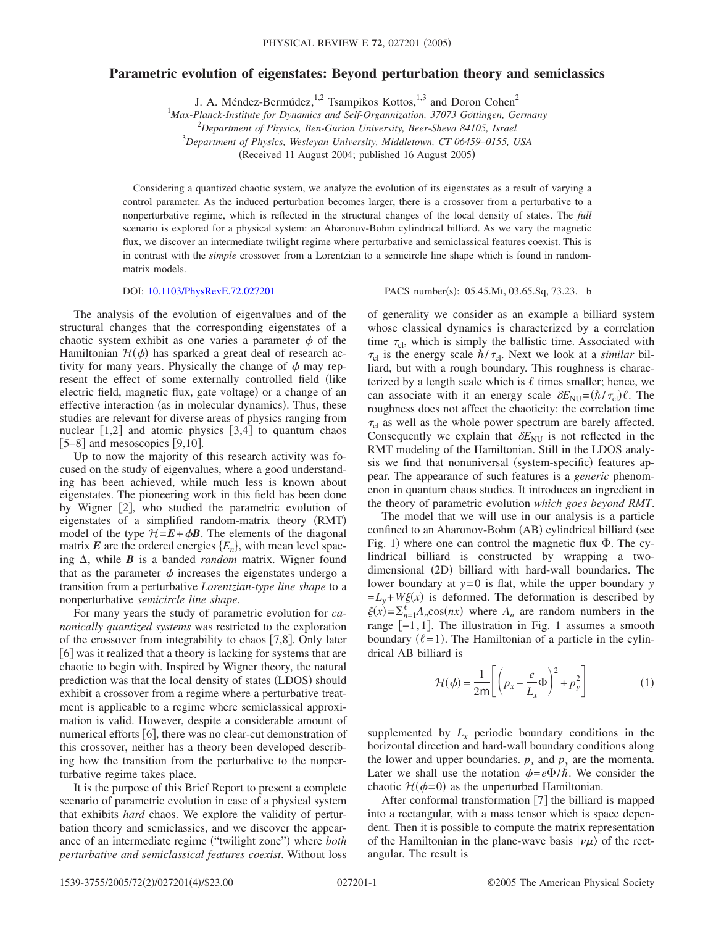## **Parametric evolution of eigenstates: Beyond perturbation theory and semiclassics**

J. A. Méndez-Bermúdez,<sup>1,2</sup> Tsampikos Kottos,<sup>1,3</sup> and Doron Cohen<sup>2</sup><br><sup>1</sup>Max-Planck-Institute for Dynamics and Self-Organnization, 37073 Göttingen, Germany

2 *Department of Physics, Ben-Gurion University, Beer-Sheva 84105, Israel*

3 *Department of Physics, Wesleyan University, Middletown, CT 06459–0155, USA*

(Received 11 August 2004; published 16 August 2005)

Considering a quantized chaotic system, we analyze the evolution of its eigenstates as a result of varying a control parameter. As the induced perturbation becomes larger, there is a crossover from a perturbative to a nonperturbative regime, which is reflected in the structural changes of the local density of states. The *full* scenario is explored for a physical system: an Aharonov-Bohm cylindrical billiard. As we vary the magnetic flux, we discover an intermediate twilight regime where perturbative and semiclassical features coexist. This is in contrast with the *simple* crossover from a Lorentzian to a semicircle line shape which is found in randommatrix models.

## DOI: [10.1103/PhysRevE.72.027201](http://dx.doi.org/10.1103/PhysRevE.72.027201)

PACS number(s): 05.45.Mt, 03.65.Sq, 73.23. - b

The analysis of the evolution of eigenvalues and of the structural changes that the corresponding eigenstates of a chaotic system exhibit as one varies a parameter  $\phi$  of the Hamiltonian  $\mathcal{H}(\phi)$  has sparked a great deal of research activity for many years. Physically the change of  $\phi$  may represent the effect of some externally controlled field (like electric field, magnetic flux, gate voltage) or a change of an effective interaction (as in molecular dynamics). Thus, these studies are relevant for diverse areas of physics ranging from nuclear  $[1,2]$  and atomic physics  $[3,4]$  to quantum chaos  $[5-8]$  and mesoscopics  $[9,10]$ .

Up to now the majority of this research activity was focused on the study of eigenvalues, where a good understanding has been achieved, while much less is known about eigenstates. The pioneering work in this field has been done by Wigner [2], who studied the parametric evolution of eigenstates of a simplified random-matrix theory (RMT) model of the type  $H = \mathbf{E} + \phi \mathbf{B}$ . The elements of the diagonal matrix  $\mathbf{E}$  are the ordered energies  $\{E_n\}$ , with mean level spacing  $\Delta$ , while **B** is a banded *random* matrix. Wigner found that as the parameter  $\phi$  increases the eigenstates undergo a transition from a perturbative *Lorentzian-type line shape* to a nonperturbative *semicircle line shape*.

For many years the study of parametric evolution for *canonically quantized systems* was restricted to the exploration of the crossover from integrability to chaos  $[7,8]$ . Only later [6] was it realized that a theory is lacking for systems that are chaotic to begin with. Inspired by Wigner theory, the natural prediction was that the local density of states (LDOS) should exhibit a crossover from a regime where a perturbative treatment is applicable to a regime where semiclassical approximation is valid. However, despite a considerable amount of numerical efforts  $[6]$ , there was no clear-cut demonstration of this crossover, neither has a theory been developed describing how the transition from the perturbative to the nonperturbative regime takes place.

It is the purpose of this Brief Report to present a complete scenario of parametric evolution in case of a physical system that exhibits *hard* chaos. We explore the validity of perturbation theory and semiclassics, and we discover the appearance of an intermediate regime ("twilight zone") where *both perturbative and semiclassical features coexist*. Without loss of generality we consider as an example a billiard system whose classical dynamics is characterized by a correlation time  $\tau_{\text{cl}}$ , which is simply the ballistic time. Associated with  $\tau_{\rm cl}$  is the energy scale  $\hbar/\tau_{\rm cl}$ . Next we look at a *similar* billiard, but with a rough boundary. This roughness is characterized by a length scale which is  $\ell$  times smaller; hence, we can associate with it an energy scale  $\delta E_{\text{NU}} = (\hbar / \tau_{\text{cl}}) \ell$ . The roughness does not affect the chaoticity: the correlation time  $\tau_{\rm cl}$  as well as the whole power spectrum are barely affected. Consequently we explain that  $\delta E_{\text{NU}}$  is not reflected in the RMT modeling of the Hamiltonian. Still in the LDOS analysis we find that nonuniversal (system-specific) features appear. The appearance of such features is a *generic* phenomenon in quantum chaos studies. It introduces an ingredient in the theory of parametric evolution *which goes beyond RMT*.

The model that we will use in our analysis is a particle confined to an Aharonov-Bohm (AB) cylindrical billiard (see Fig. 1) where one can control the magnetic flux  $\Phi$ . The cylindrical billiard is constructed by wrapping a twodimensional (2D) billiard with hard-wall boundaries. The lower boundary at *y*=0 is flat, while the upper boundary *y*  $=L_y+W\xi(x)$  is deformed. The deformation is described by  $\xi(x) = \sum_{n=1}^{l} A_n \cos(nx)$  where  $A_n$  are random numbers in the range  $[-1,1]$ . The illustration in Fig. 1 assumes a smooth boundary  $(\ell = 1)$ . The Hamiltonian of a particle in the cylindrical AB billiard is

$$
\mathcal{H}(\phi) = \frac{1}{2m} \left[ \left( p_x - \frac{e}{L_x} \Phi \right)^2 + p_y^2 \right] \tag{1}
$$

supplemented by  $L<sub>x</sub>$  periodic boundary conditions in the horizontal direction and hard-wall boundary conditions along the lower and upper boundaries.  $p_x$  and  $p_y$  are the momenta. Later we shall use the notation  $\phi = e \Phi/\hbar$ . We consider the chaotic  $\mathcal{H}(\phi=0)$  as the unperturbed Hamiltonian.

After conformal transformation  $[7]$  the billiard is mapped into a rectangular, with a mass tensor which is space dependent. Then it is possible to compute the matrix representation of the Hamiltonian in the plane-wave basis  $|\nu \mu \rangle$  of the rectangular. The result is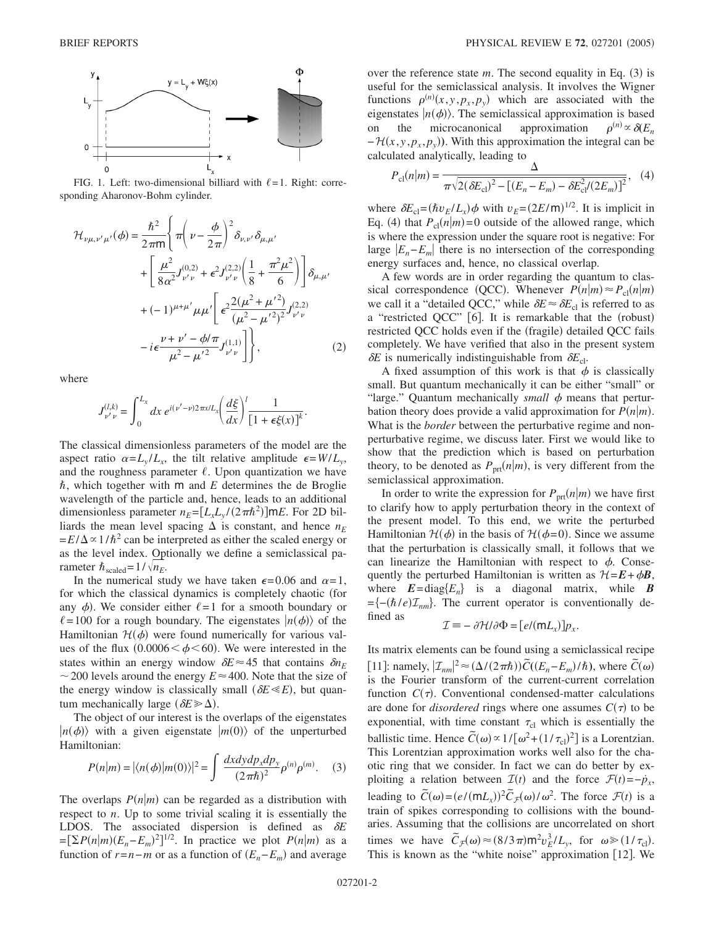

FIG. 1. Left: two-dimensional billiard with  $\ell = 1$ . Right: corresponding Aharonov-Bohm cylinder.

$$
\mathcal{H}_{\nu\mu,\nu'\mu'}(\phi) = \frac{\hbar^2}{2\pi m} \Bigg\{ \pi \Bigg( \nu - \frac{\phi}{2\pi} \Bigg)^2 \delta_{\nu,\nu'} \delta_{\mu,\mu'} \Bigg. \\ + \Bigg[ \frac{\mu^2}{8\alpha^2} J_{\nu'\nu}^{(0,2)} + \epsilon^2 J_{\nu'\nu}^{(2,2)} \Bigg( \frac{1}{8} + \frac{\pi^2 \mu^2}{6} \Bigg) \Bigg] \delta_{\mu,\mu'} \Bigg. \\ + (-1)^{\mu+\mu'} \mu \mu' \Bigg[ \epsilon^2 \frac{2(\mu^2 + \mu'^2)}{(\mu^2 - \mu'^2)^2} J_{\nu'\nu}^{(2,2)} \Bigg. \\ - i\epsilon \frac{\nu + \nu' - \phi/\pi}{\mu^2 - \mu'^2} J_{\nu'\nu}^{(1,1)} \Bigg] \Bigg\}, \tag{2}
$$

where

$$
J_{\nu'\nu}^{(l,k)} = \int_0^{L_x} dx \, e^{i(\nu'-\nu)2\pi x/L_x} \left(\frac{d\xi}{dx}\right)^l \frac{1}{[1+\epsilon\xi(x)]^k}.
$$

The classical dimensionless parameters of the model are the aspect ratio  $\alpha = L_v/L_v$ , the tilt relative amplitude  $\epsilon = W/L_v$ , and the roughness parameter  $\ell$ . Upon quantization we have  $\hbar$ , which together with  $m$  and  $E$  determines the de Broglie wavelength of the particle and, hence, leads to an additional dimensionless parameter  $n_E = [L_x L_y / (2 \pi \hbar^2)] \text{m}E$ . For 2D billiards the mean level spacing  $\Delta$  is constant, and hence  $n_E$  $=E/\Delta \propto 1/\hbar^2$  can be interpreted as either the scaled energy or as the level index. Optionally we define a semiclassical parameter  $\hbar_{\text{scaled}}=1/\sqrt{n_E}$ .

In the numerical study we have taken  $\epsilon = 0.06$  and  $\alpha = 1$ , for which the classical dynamics is completely chaotic for any  $\phi$ ). We consider either  $\ell = 1$  for a smooth boundary or  $\ell = 100$  for a rough boundary. The eigenstates  $|n(\phi)\rangle$  of the Hamiltonian  $\mathcal{H}(\phi)$  were found numerically for various values of the flux  $(0.0006 < \phi < 60)$ . We were interested in the states within an energy window  $\delta E \approx 45$  that contains  $\delta n_E$  $\sim$  200 levels around the energy  $E \approx 400$ . Note that the size of the energy window is classically small  $(\delta E \ll E)$ , but quantum mechanically large  $(\delta E \gg \Delta)$ .

The object of our interest is the overlaps of the eigenstates  $|n(\phi)\rangle$  with a given eigenstate  $|m(0)\rangle$  of the unperturbed Hamiltonian:

$$
P(n|m) = |\langle n(\phi)|m(0)\rangle|^2 = \int \frac{dx dy dp_x dp_y}{(2\pi\hbar)^2} \rho^{(n)} \rho^{(m)}.
$$
 (3)

The overlaps  $P(n|m)$  can be regarded as a distribution with respect to *n*. Up to some trivial scaling it is essentially the LDOS. The associated dispersion is defined as  $\delta E$  $P\left[\sum P(n|m)(E_n - E_m)^2\right]^{1/2}$ . In practice we plot  $P(n|m)$  as a function of  $r = n - m$  or as a function of  $(E_n - E_m)$  and average

over the reference state  $m$ . The second equality in Eq.  $(3)$  is useful for the semiclassical analysis. It involves the Wigner functions  $\rho^{(n)}(x, y, p_x, p_y)$  which are associated with the eigenstates  $|n(\phi)\rangle$ . The semiclassical approximation is based on the microcanonical approximation *n*- $\phi \propto \delta(E_n)$  $-\mathcal{H}(x, y, p_x, p_y)$ . With this approximation the integral can be calculated analytically, leading to

$$
P_{\rm cl}(n|m) = \frac{\Delta}{\pi \sqrt{2(\delta E_{\rm cl})^2 - [(E_n - E_m) - \delta E_{\rm cl}^2/(2E_m)]^2}}, \quad (4)
$$

where  $\delta E_{\text{cl}} = (\hbar v_E / L_x) \phi$  with  $v_E = (2E/\text{m})^{1/2}$ . It is implicit in Eq. (4) that  $P_{cl}(n|m) = 0$  outside of the allowed range, which is where the expression under the square root is negative: For large  $|E_n - E_m|$  there is no intersection of the corresponding energy surfaces and, hence, no classical overlap.

A few words are in order regarding the quantum to classical correspondence (QCC). Whenever  $P(n|m) \approx P_{cl}(n|m)$ we call it a "detailed QCC," while  $\delta E \approx \delta E_{\text{cl}}$  is referred to as a "restricted QCC" [6]. It is remarkable that the (robust) restricted QCC holds even if the (fragile) detailed QCC fails completely. We have verified that also in the present system  $\delta E$  is numerically indistinguishable from  $\delta E_{\text{cl}}$ .

A fixed assumption of this work is that  $\phi$  is classically small. But quantum mechanically it can be either "small" or "large." Quantum mechanically *small*  $\phi$  means that perturbation theory does provide a valid approximation for  $P(n|m)$ . What is the *border* between the perturbative regime and nonperturbative regime, we discuss later. First we would like to show that the prediction which is based on perturbation theory, to be denoted as  $P_{\text{prt}}(n|m)$ , is very different from the semiclassical approximation.

In order to write the expression for  $P_{\text{prt}}(n|m)$  we have first to clarify how to apply perturbation theory in the context of the present model. To this end, we write the perturbed Hamiltonian  $H(\phi)$  in the basis of  $H(\phi=0)$ . Since we assume that the perturbation is classically small, it follows that we can linearize the Hamiltonian with respect to  $\phi$ . Consequently the perturbed Hamiltonian is written as  $\mathcal{H} = \mathbf{E} + \phi \mathbf{B}$ , where  $E = diag{E_n}$  is a diagonal matrix, while **B** ={-( $\hbar$ /*e*) $\mathcal{I}_{nm}$ }. The current operator is conventionally defined as

$$
\mathcal{I} \equiv -\frac{\partial \mathcal{H}}{\partial \Phi} = \left[e/(\mathsf{m}L_x)\right] p_x.
$$

Its matrix elements can be found using a semiclassical recipe  $[11]$ : namely,  $|Z_{nm}|^2 \approx (\Delta/(2\pi\hbar))\tilde{C}((E_n - E_m)/\hbar)$ , where  $\tilde{C}(\omega)$ is the Fourier transform of the current-current correlation function  $C(\tau)$ . Conventional condensed-matter calculations are done for *disordered* rings where one assumes  $C(\tau)$  to be exponential, with time constant  $\tau_{cl}$  which is essentially the ballistic time. Hence  $\tilde{C}(\omega) \propto 1/[\omega^2 + (1/\tau_{\rm cl})^2]$  is a Lorentzian. This Lorentzian approximation works well also for the chaotic ring that we consider. In fact we can do better by exploiting a relation between  $\mathcal{I}(t)$  and the force  $\mathcal{F}(t) = -\dot{p}_x$ , leading to  $\tilde{C}(\omega) = (e/(\mathsf{m}L_x))^2 \tilde{C}_{\mathcal{F}}(\omega)/\omega^2$ . The force  $\mathcal{F}(t)$  is a train of spikes corresponding to collisions with the boundaries. Assuming that the collisions are uncorrelated on short times we have  $\tilde{C}_{\mathcal{F}}(\omega) \approx (8/3 \pi) m^2 v_E^3 / L_y$ , for  $\omega \ge (1/\tau_{cl})$ . This is known as the "white noise" approximation  $[12]$ . We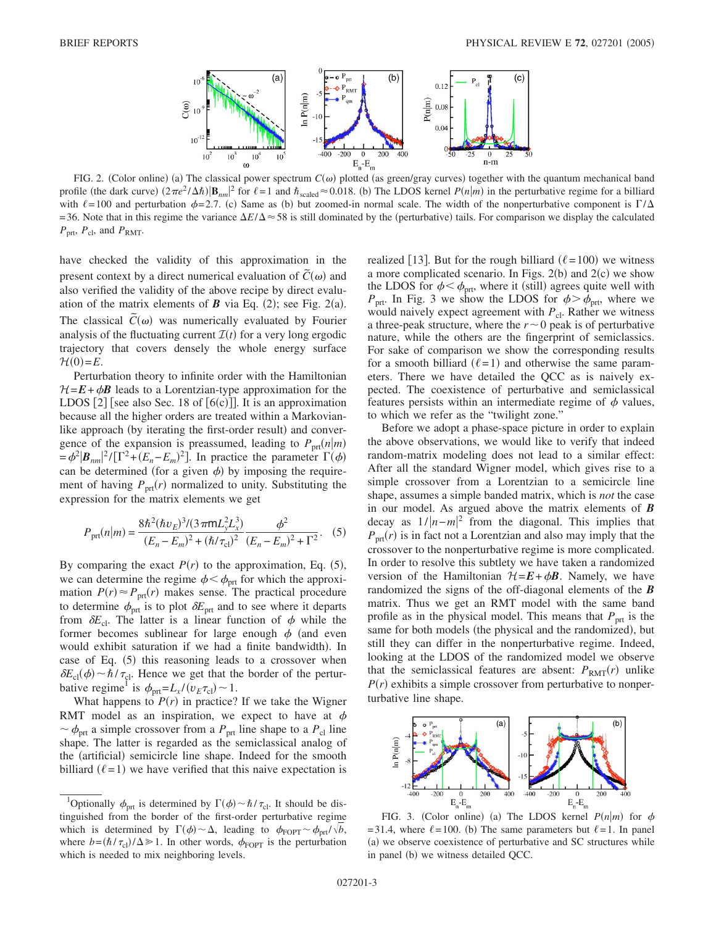

FIG. 2. (Color online) (a) The classical power spectrum  $C(\omega)$  plotted (as green/gray curves) together with the quantum mechanical band profile (the dark curve)  $(2\pi e^2/\Delta\hbar)|\mathbf{B}_{nm}|^2$  for  $\ell=1$  and  $\hbar_{\text{scaled}}\approx 0.018$ . (b) The LDOS kernel  $P(n|m)$  in the perturbative regime for a billiard with  $\ell = 100$  and perturbation  $\phi = 2.7$ . (c) Same as (b) but zoomed-in normal scale. The width of the nonperturbative component is  $\Gamma/\Delta$  $=$  36. Note that in this regime the variance  $\Delta E/\Delta \approx 58$  is still dominated by the (perturbative) tails. For comparison we display the calculated  $P_{\text{prt}}$ ,  $P_{\text{cl}}$ , and  $P_{\text{RMT}}$ .

have checked the validity of this approximation in the present context by a direct numerical evaluation of  $\tilde{C}(\omega)$  and also verified the validity of the above recipe by direct evaluation of the matrix elements of  $\boldsymbol{B}$  via Eq. (2); see Fig. 2(a). The classical  $\tilde{C}(\omega)$  was numerically evaluated by Fourier analysis of the fluctuating current  $\mathcal{I}(t)$  for a very long ergodic trajectory that covers densely the whole energy surface  $\mathcal{H}(0)=E$ .

Perturbation theory to infinite order with the Hamiltonian  $H=E+\phi B$  leads to a Lorentzian-type approximation for the LDOS  $[2]$  [see also Sec. 18 of  $[6(c)]$ ]. It is an approximation because all the higher orders are treated within a Markovianlike approach (by iterating the first-order result) and convergence of the expansion is preassumed, leading to  $P_{\text{prt}}(n|m)$  $= \phi^2 |B_{nm}|^2 / [\Gamma^2 + (E_n - E_m)^2]$ . In practice the parameter  $\Gamma(\phi)$ can be determined (for a given  $\phi$ ) by imposing the requirement of having  $P_{\text{prt}}(r)$  normalized to unity. Substituting the expression for the matrix elements we get

$$
P_{\text{prt}}(n|m) = \frac{8\hbar^2(\hbar v_E)^3/(3\,\pi\text{m}L_y^2L_x^3)}{(E_n - E_m)^2 + (\hbar/\tau_{\text{cl}})^2} \frac{\phi^2}{(E_n - E_m)^2 + \Gamma^2}.
$$
 (5)

By comparing the exact  $P(r)$  to the approximation, Eq.  $(5)$ , we can determine the regime  $\phi < \phi_{\text{prt}}$  for which the approximation  $P(r) \approx P_{\text{prt}}(r)$  makes sense. The practical procedure to determine  $\phi_{\text{prt}}$  is to plot  $\delta E_{\text{prt}}$  and to see where it departs from  $\delta E_{\text{cl}}$ . The latter is a linear function of  $\phi$  while the former becomes sublinear for large enough  $\phi$  (and even would exhibit saturation if we had a finite bandwidth). In case of Eq. (5) this reasoning leads to a crossover when  $\delta E_{\text{cl}}(\phi) \sim \hbar / \tau_{\text{cl}}$ . Hence we get that the border of the perturbative regime<sup>1</sup> is  $\phi_{\text{prt}} = L_x / (v_E \tau_{\text{cl}}) \sim 1$ .

What happens to  $P(r)$  in practice? If we take the Wigner RMT model as an inspiration, we expect to have at  $\phi$  $\sim \phi_{\text{prt}}$  a simple crossover from a  $P_{\text{prt}}$  line shape to a  $P_{\text{cl}}$  line shape. The latter is regarded as the semiclassical analog of the (artificial) semicircle line shape. Indeed for the smooth billiard  $(\ell = 1)$  we have verified that this naive expectation is

realized [13]. But for the rough billiard ( $\ell$ =100) we witness a more complicated scenario. In Figs.  $2(b)$  and  $2(c)$  we show the LDOS for  $\phi < \phi_{\text{prt}}$ , where it (still) agrees quite well with  $P_{\text{prt}}$ . In Fig. 3 we show the LDOS for  $\phi > \phi_{\text{prt}}$ , where we would naively expect agreement with *P*<sub>cl</sub>. Rather we witness a three-peak structure, where the  $r \sim 0$  peak is of perturbative nature, while the others are the fingerprint of semiclassics. For sake of comparison we show the corresponding results for a smooth billiard  $(\ell = 1)$  and otherwise the same parameters. There we have detailed the QCC as is naively expected. The coexistence of perturbative and semiclassical features persists within an intermediate regime of  $\phi$  values, to which we refer as the "twilight zone."

Before we adopt a phase-space picture in order to explain the above observations, we would like to verify that indeed random-matrix modeling does not lead to a similar effect: After all the standard Wigner model, which gives rise to a simple crossover from a Lorentzian to a semicircle line shape, assumes a simple banded matrix, which is *not* the case in our model. As argued above the matrix elements of *B* decay as  $1/|n-m|^2$  from the diagonal. This implies that  $P_{\text{prt}}(r)$  is in fact not a Lorentzian and also may imply that the crossover to the nonperturbative regime is more complicated. In order to resolve this subtlety we have taken a randomized version of the Hamiltonian  $\mathcal{H} = \mathbf{E} + \phi \mathbf{B}$ . Namely, we have randomized the signs of the off-diagonal elements of the *B* matrix. Thus we get an RMT model with the same band profile as in the physical model. This means that  $P_{\text{prt}}$  is the same for both models (the physical and the randomized), but still they can differ in the nonperturbative regime. Indeed, looking at the LDOS of the randomized model we observe that the semiclassical features are absent:  $P_{RMT}(r)$  unlike  $P(r)$  exhibits a simple crossover from perturbative to nonperturbative line shape.



FIG. 3. (Color online) (a) The LDOS kernel  $P(n|m)$  for  $\phi$ =31.4, where  $\ell$ =100. (b) The same parameters but  $\ell$ =1. In panel (a) we observe coexistence of perturbative and SC structures while in panel (b) we witness detailed QCC.

<sup>&</sup>lt;sup>1</sup>Optionally  $\phi_{\text{prt}}$  is determined by  $\Gamma(\phi) \sim \hbar / \tau_{\text{cl}}$ . It should be distinguished from the border of the first-order perturbative regime which is determined by  $\Gamma(\phi) \sim \Delta$ , leading to  $\phi_{\text{FOPT}} \sim \phi_{\text{prf}} / \sqrt{b}$ , where  $b = (\hbar / \tau_{\text{cl}})/\Delta \gg 1$ . In other words,  $\phi_{\text{FOPT}}$  is the perturbation which is needed to mix neighboring levels.